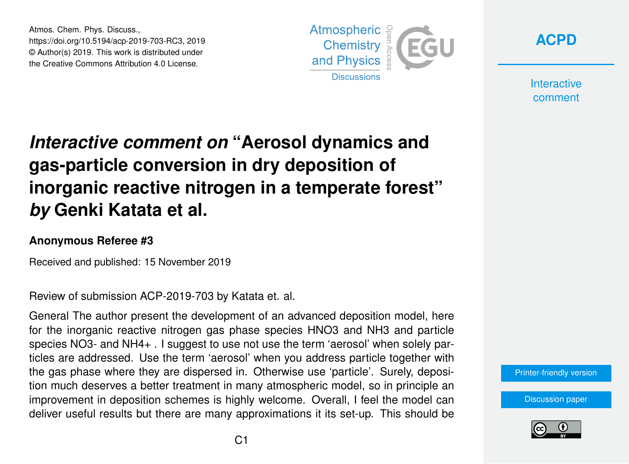Atmos. Chem. Phys. Discuss., https://doi.org/10.5194/acp-2019-703-RC3, 2019 © Author(s) 2019. This work is distributed under the Creative Commons Attribution 4.0 License.





**Interactive** comment

## *Interactive comment on* **"Aerosol dynamics and gas-particle conversion in dry deposition of inorganic reactive nitrogen in a temperate forest"** *by* **Genki Katata et al.**

## **Anonymous Referee #3**

Received and published: 15 November 2019

Review of submission ACP-2019-703 by Katata et. al.

General The author present the development of an advanced deposition model, here for the inorganic reactive nitrogen gas phase species HNO3 and NH3 and particle species NO3- and NH4+ . I suggest to use not use the term 'aerosol' when solely particles are addressed. Use the term 'aerosol' when you address particle together with the gas phase where they are dispersed in. Otherwise use 'particle'. Surely, deposition much deserves a better treatment in many atmospheric model, so in principle an improvement in deposition schemes is highly welcome. Overall, I feel the model can deliver useful results but there are many approximations it its set-up. This should be

[Printer-friendly version](https://www.atmos-chem-phys-discuss.net/acp-2019-703/acp-2019-703-RC3-print.pdf)

[Discussion paper](https://www.atmos-chem-phys-discuss.net/acp-2019-703)